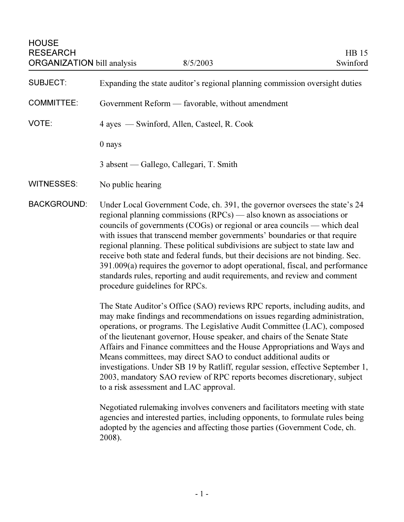| <b>HOUSE</b><br><b>RESEARCH</b><br><b>ORGANIZATION</b> bill analysis |                                                                                                                                                                                                                                                                                                                                                                                                                                                                                                                                                                                                                                                                                 | 8/5/2003                                | HB 15<br>Swinford |
|----------------------------------------------------------------------|---------------------------------------------------------------------------------------------------------------------------------------------------------------------------------------------------------------------------------------------------------------------------------------------------------------------------------------------------------------------------------------------------------------------------------------------------------------------------------------------------------------------------------------------------------------------------------------------------------------------------------------------------------------------------------|-----------------------------------------|-------------------|
| <b>SUBJECT:</b>                                                      | Expanding the state auditor's regional planning commission oversight duties                                                                                                                                                                                                                                                                                                                                                                                                                                                                                                                                                                                                     |                                         |                   |
| <b>COMMITTEE:</b>                                                    | Government Reform — favorable, without amendment                                                                                                                                                                                                                                                                                                                                                                                                                                                                                                                                                                                                                                |                                         |                   |
| VOTE:                                                                | 4 ayes — Swinford, Allen, Casteel, R. Cook                                                                                                                                                                                                                                                                                                                                                                                                                                                                                                                                                                                                                                      |                                         |                   |
|                                                                      | 0 nays                                                                                                                                                                                                                                                                                                                                                                                                                                                                                                                                                                                                                                                                          |                                         |                   |
|                                                                      |                                                                                                                                                                                                                                                                                                                                                                                                                                                                                                                                                                                                                                                                                 | 3 absent — Gallego, Callegari, T. Smith |                   |
| <b>WITNESSES:</b>                                                    | No public hearing                                                                                                                                                                                                                                                                                                                                                                                                                                                                                                                                                                                                                                                               |                                         |                   |
| <b>BACKGROUND:</b>                                                   | Under Local Government Code, ch. 391, the governor oversees the state's 24<br>regional planning commissions (RPCs) — also known as associations or<br>councils of governments (COGs) or regional or area councils — which deal<br>with issues that transcend member governments' boundaries or that require<br>regional planning. These political subdivisions are subject to state law and<br>receive both state and federal funds, but their decisions are not binding. Sec.<br>391.009(a) requires the governor to adopt operational, fiscal, and performance<br>standards rules, reporting and audit requirements, and review and comment<br>procedure guidelines for RPCs. |                                         |                   |
|                                                                      | The State Auditor's Office (SAO) reviews RPC reports, including audits, and<br>may make findings and recommendations on issues regarding administration,<br>operations, or programs. The Legislative Audit Committee (LAC), composed<br>of the lieutenant governor, House speaker, and chairs of the Senate State<br>Affairs and Finance committees and the House Appropriations and Ways and<br>Means committees, may direct SAO to conduct additional audits or<br>investigations. Under SB 19 by Ratliff, regular session, effective September 1,<br>2003, mandatory SAO review of RPC reports becomes discretionary, subject<br>to a risk assessment and LAC approval.      |                                         |                   |

Negotiated rulemaking involves conveners and facilitators meeting with state agencies and interested parties, including opponents, to formulate rules being adopted by the agencies and affecting those parties (Government Code, ch. 2008).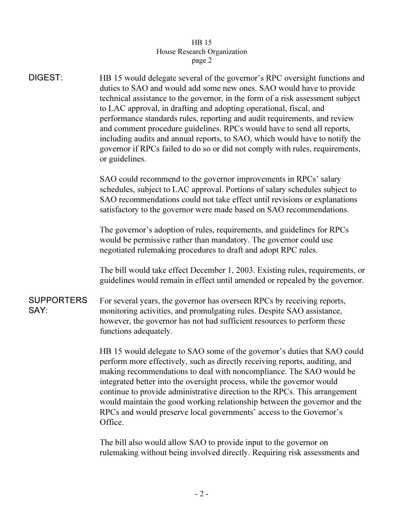## arch C  $\frac{1}{\sqrt{1-\frac{1}{\sqrt{1-\frac{1}{\sqrt{1-\frac{1}{\sqrt{1-\frac{1}{\sqrt{1-\frac{1}{\sqrt{1-\frac{1}{\sqrt{1-\frac{1}{\sqrt{1-\frac{1}{\sqrt{1-\frac{1}{\sqrt{1-\frac{1}{\sqrt{1-\frac{1}{\sqrt{1-\frac{1}{\sqrt{1-\frac{1}{\sqrt{1-\frac{1}{\sqrt{1-\frac{1}{\sqrt{1-\frac{1}{\sqrt{1-\frac{1}{\sqrt{1-\frac{1}{\sqrt{1-\frac{1}{\sqrt{1-\frac{1}{\sqrt{1-\frac{1}{\sqrt{1-\frac{1}{\sqrt{1-\frac{1}{\sqrt{1-\frac{1$ page 2

| <b>DIGEST:</b>            | HB 15 would delegate several of the governor's RPC oversight functions and<br>duties to SAO and would add some new ones. SAO would have to provide<br>technical assistance to the governor, in the form of a risk assessment subject<br>to LAC approval, in drafting and adopting operational, fiscal, and<br>performance standards rules, reporting and audit requirements, and review<br>and comment procedure guidelines. RPCs would have to send all reports,<br>including audits and annual reports, to SAO, which would have to notify the<br>governor if RPCs failed to do so or did not comply with rules, requirements,<br>or guidelines. |
|---------------------------|----------------------------------------------------------------------------------------------------------------------------------------------------------------------------------------------------------------------------------------------------------------------------------------------------------------------------------------------------------------------------------------------------------------------------------------------------------------------------------------------------------------------------------------------------------------------------------------------------------------------------------------------------|
|                           | SAO could recommend to the governor improvements in RPCs' salary<br>schedules, subject to LAC approval. Portions of salary schedules subject to<br>SAO recommendations could not take effect until revisions or explanations<br>satisfactory to the governor were made based on SAO recommendations.                                                                                                                                                                                                                                                                                                                                               |
|                           | The governor's adoption of rules, requirements, and guidelines for RPCs<br>would be permissive rather than mandatory. The governor could use<br>negotiated rulemaking procedures to draft and adopt RPC rules.                                                                                                                                                                                                                                                                                                                                                                                                                                     |
|                           | The bill would take effect December 1, 2003. Existing rules, requirements, or<br>guidelines would remain in effect until amended or repealed by the governor.                                                                                                                                                                                                                                                                                                                                                                                                                                                                                      |
| <b>SUPPORTERS</b><br>SAY: | For several years, the governor has overseen RPCs by receiving reports,<br>monitoring activities, and promulgating rules. Despite SAO assistance,<br>however, the governor has not had sufficient resources to perform these<br>functions adequately.                                                                                                                                                                                                                                                                                                                                                                                              |
|                           | HB 15 would delegate to SAO some of the governor's duties that SAO could<br>perform more effectively, such as directly receiving reports, auditing, and<br>making recommendations to deal with noncompliance. The SAO would be<br>integrated better into the oversight process, while the governor would<br>continue to provide administrative direction to the RPCs. This arrangement<br>would maintain the good working relationship between the governor and the<br>RPCs and would preserve local governments' access to the Governor's<br>Office.                                                                                              |

The bill also would allow SAO to provide input to the governor on rulemaking without being involved directly. Requiring risk assessments and